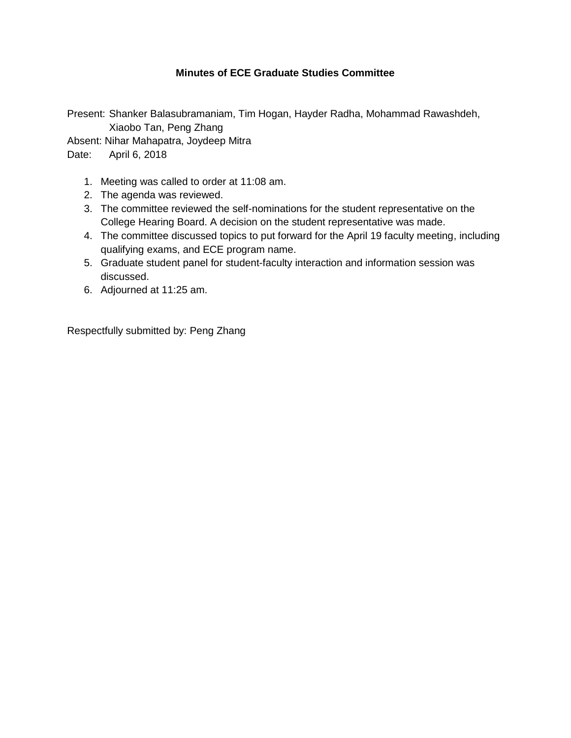# **Minutes of ECE Graduate Studies Committee**

Present: Shanker Balasubramaniam, Tim Hogan, Hayder Radha, Mohammad Rawashdeh, Xiaobo Tan, Peng Zhang

Absent: Nihar Mahapatra, Joydeep Mitra

Date: April 6, 2018

- 1. Meeting was called to order at 11:08 am.
- 2. The agenda was reviewed.
- 3. The committee reviewed the self-nominations for the student representative on the College Hearing Board. A decision on the student representative was made.
- 4. The committee discussed topics to put forward for the April 19 faculty meeting, including qualifying exams, and ECE program name.
- 5. Graduate student panel for student-faculty interaction and information session was discussed.
- 6. Adjourned at 11:25 am.

Respectfully submitted by: Peng Zhang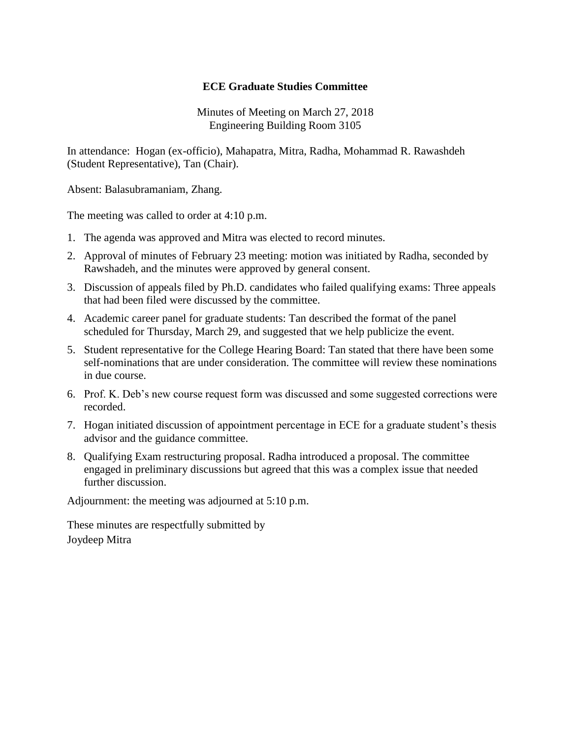Minutes of Meeting on March 27, 2018 Engineering Building Room 3105

In attendance: Hogan (ex-officio), Mahapatra, Mitra, Radha, Mohammad R. Rawashdeh (Student Representative), Tan (Chair).

Absent: Balasubramaniam, Zhang.

The meeting was called to order at 4:10 p.m.

- 1. The agenda was approved and Mitra was elected to record minutes.
- 2. Approval of minutes of February 23 meeting: motion was initiated by Radha, seconded by Rawshadeh, and the minutes were approved by general consent.
- 3. Discussion of appeals filed by Ph.D. candidates who failed qualifying exams: Three appeals that had been filed were discussed by the committee.
- 4. Academic career panel for graduate students: Tan described the format of the panel scheduled for Thursday, March 29, and suggested that we help publicize the event.
- 5. Student representative for the College Hearing Board: Tan stated that there have been some self-nominations that are under consideration. The committee will review these nominations in due course.
- 6. Prof. K. Deb's new course request form was discussed and some suggested corrections were recorded.
- 7. Hogan initiated discussion of appointment percentage in ECE for a graduate student's thesis advisor and the guidance committee.
- 8. Qualifying Exam restructuring proposal. Radha introduced a proposal. The committee engaged in preliminary discussions but agreed that this was a complex issue that needed further discussion.

Adjournment: the meeting was adjourned at 5:10 p.m.

These minutes are respectfully submitted by Joydeep Mitra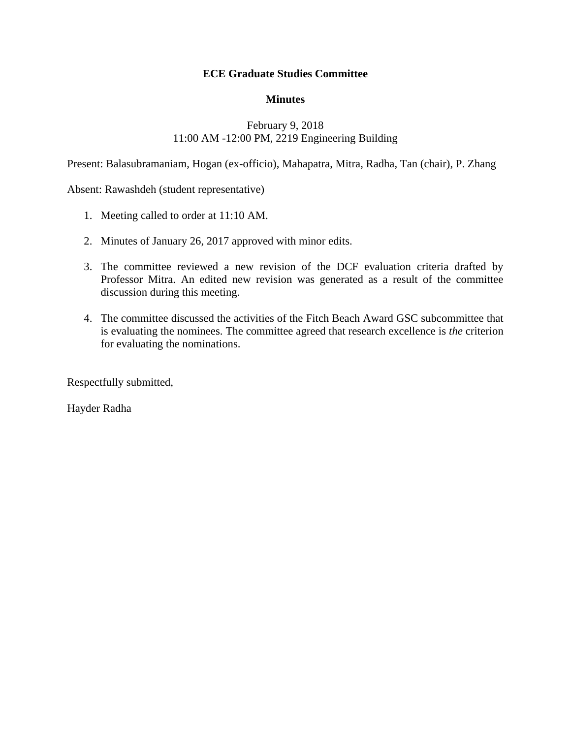### **Minutes**

# February 9, 2018 11:00 AM -12:00 PM, 2219 Engineering Building

Present: Balasubramaniam, Hogan (ex-officio), Mahapatra, Mitra, Radha, Tan (chair), P. Zhang

Absent: Rawashdeh (student representative)

- 1. Meeting called to order at 11:10 AM.
- 2. Minutes of January 26, 2017 approved with minor edits.
- 3. The committee reviewed a new revision of the DCF evaluation criteria drafted by Professor Mitra. An edited new revision was generated as a result of the committee discussion during this meeting.
- 4. The committee discussed the activities of the Fitch Beach Award GSC subcommittee that is evaluating the nominees. The committee agreed that research excellence is *the* criterion for evaluating the nominations.

Respectfully submitted,

Hayder Radha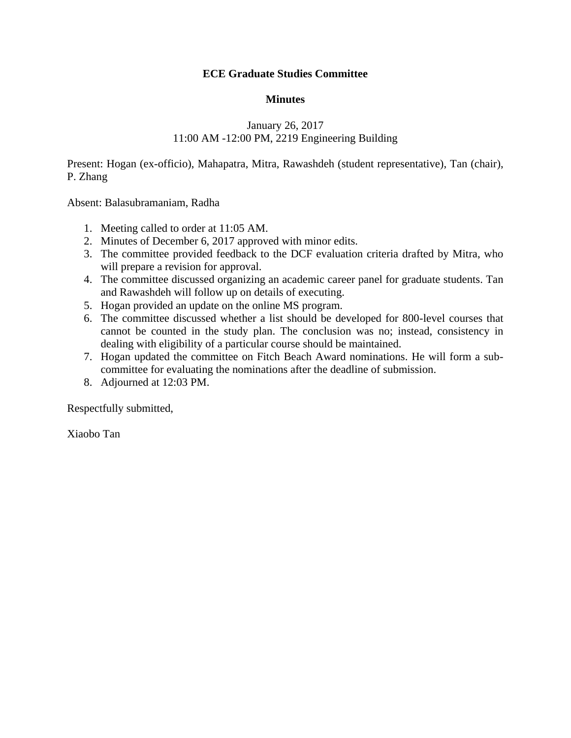### **Minutes**

# January 26, 2017 11:00 AM -12:00 PM, 2219 Engineering Building

Present: Hogan (ex-officio), Mahapatra, Mitra, Rawashdeh (student representative), Tan (chair), P. Zhang

Absent: Balasubramaniam, Radha

- 1. Meeting called to order at 11:05 AM.
- 2. Minutes of December 6, 2017 approved with minor edits.
- 3. The committee provided feedback to the DCF evaluation criteria drafted by Mitra, who will prepare a revision for approval.
- 4. The committee discussed organizing an academic career panel for graduate students. Tan and Rawashdeh will follow up on details of executing.
- 5. Hogan provided an update on the online MS program.
- 6. The committee discussed whether a list should be developed for 800-level courses that cannot be counted in the study plan. The conclusion was no; instead, consistency in dealing with eligibility of a particular course should be maintained.
- 7. Hogan updated the committee on Fitch Beach Award nominations. He will form a subcommittee for evaluating the nominations after the deadline of submission.
- 8. Adjourned at 12:03 PM.

Respectfully submitted,

Xiaobo Tan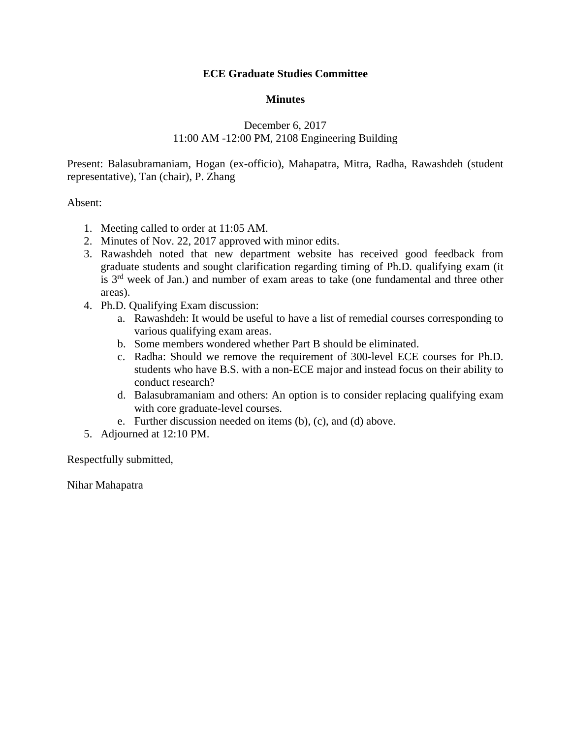#### **Minutes**

# December 6, 2017 11:00 AM -12:00 PM, 2108 Engineering Building

Present: Balasubramaniam, Hogan (ex-officio), Mahapatra, Mitra, Radha, Rawashdeh (student representative), Tan (chair), P. Zhang

#### Absent:

- 1. Meeting called to order at 11:05 AM.
- 2. Minutes of Nov. 22, 2017 approved with minor edits.
- 3. Rawashdeh noted that new department website has received good feedback from graduate students and sought clarification regarding timing of Ph.D. qualifying exam (it is  $3<sup>rd</sup>$  week of Jan.) and number of exam areas to take (one fundamental and three other areas).
- 4. Ph.D. Qualifying Exam discussion:
	- a. Rawashdeh: It would be useful to have a list of remedial courses corresponding to various qualifying exam areas.
	- b. Some members wondered whether Part B should be eliminated.
	- c. Radha: Should we remove the requirement of 300-level ECE courses for Ph.D. students who have B.S. with a non-ECE major and instead focus on their ability to conduct research?
	- d. Balasubramaniam and others: An option is to consider replacing qualifying exam with core graduate-level courses.
	- e. Further discussion needed on items (b), (c), and (d) above.
- 5. Adjourned at 12:10 PM.

Respectfully submitted,

Nihar Mahapatra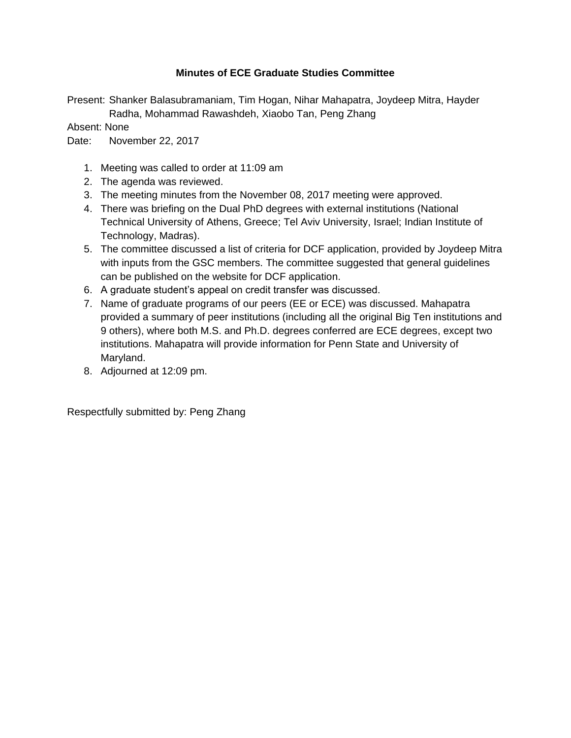# **Minutes of ECE Graduate Studies Committee**

Present: Shanker Balasubramaniam, Tim Hogan, Nihar Mahapatra, Joydeep Mitra, Hayder Radha, Mohammad Rawashdeh, Xiaobo Tan, Peng Zhang

Absent: None

Date: November 22, 2017

- 1. Meeting was called to order at 11:09 am
- 2. The agenda was reviewed.
- 3. The meeting minutes from the November 08, 2017 meeting were approved.
- 4. There was briefing on the Dual PhD degrees with external institutions (National Technical University of Athens, Greece; Tel Aviv University, Israel; Indian Institute of Technology, Madras).
- 5. The committee discussed a list of criteria for DCF application, provided by Joydeep Mitra with inputs from the GSC members. The committee suggested that general guidelines can be published on the website for DCF application.
- 6. A graduate student's appeal on credit transfer was discussed.
- 7. Name of graduate programs of our peers (EE or ECE) was discussed. Mahapatra provided a summary of peer institutions (including all the original Big Ten institutions and 9 others), where both M.S. and Ph.D. degrees conferred are ECE degrees, except two institutions. Mahapatra will provide information for Penn State and University of Maryland.
- 8. Adjourned at 12:09 pm.

Respectfully submitted by: Peng Zhang